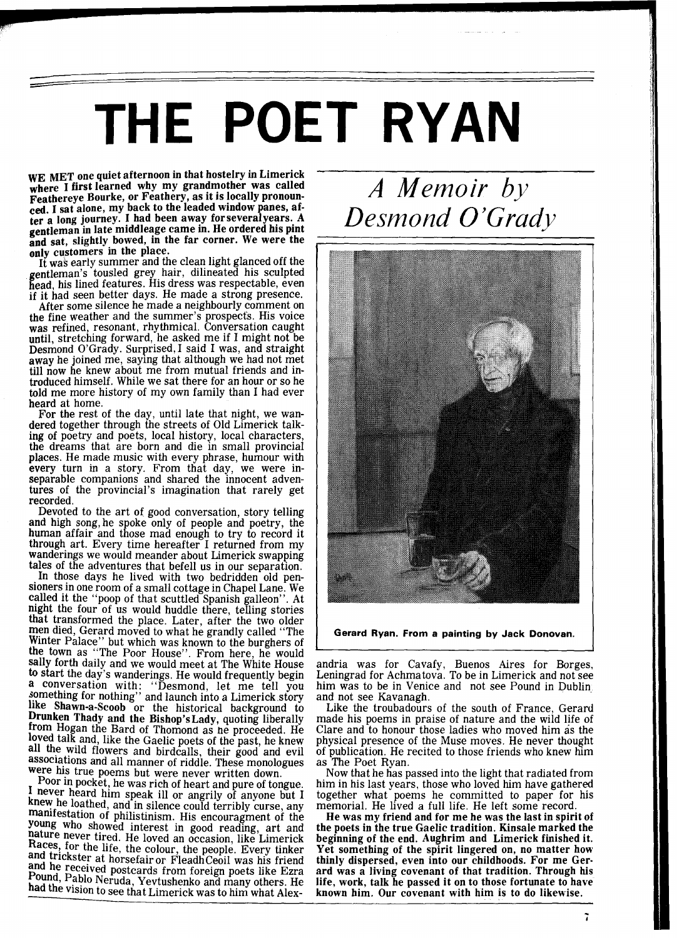## **THE POET RYAN**

**WE MET** one quiet afternoon in that hostelry in Limerick where I first learned why my grandmother was called Feathereye Bourke, or Feathery, as it is locally pronounced. **I** sat alone, my back to the leaded window panes, after a long journey. I had been away forseveralyears. A gentleman in late middleage came in. He ordered his pint and sat, slightly bowed, in the far corner. We were the only customers in the place.

It was early summer and the clean light glanced off the gentleman's tousled grey hair, dilineated his sculpted head, his lined features. His dress was respectable, even<br>if it had seen better days. He made a strong presence.

if it had seen better days. He made a strong presence. After some silence he made a neighbourly comment on the fine weather and the summer's prospecfs. His voice was refined, resonant, rhythmical. Conversation caught until, stretching forward, he asked me if I might not be Desmond O'Grady. Surprised,I said I was, and straight away he joined me, saying that although we had not met till now he knew about me from mutual friends and introduced himself. While we sat there for an hour or so he told me more history of my own family than I had ever heard at home.

For the rest of the day, until late that night, we wandered together through the streets of Old Limerick talking of poetry and poets, local history, local characters, the dreams that are born and die in small provincial places. He made music with every phrase, humour with every turn in a story. From that day, we were inseparable companions and shared the innocent adventures of the provincial's imagination that rarely get

recorded.<br>Devoted to the art of good conversation, story telling Devoted to the art of good conversation, story telling and high song, he spoke only of people and poetry, the human affair and those mad enough to try to record it through art. Every time hereafter I returned from my wanderings we would meander about Limerick swapping

tales of the adventures that befell us in our separation.<br>In those days he lived with two bedridden old pen-In those days he lived with two bedridden old pen-<br>sioners in one room of a small cottage in Chapel Lane. We called it the "poop of that scuttled Spanish galleon". At night the four of us would huddle there, telling stories that transformed the place. Later, after the two older men died, Gerard moved to what he grandly called "The Winter Palace" but which was known to the burghers of Winter Palace" but which was known to the burghers of the town as "The Poor House". From here, he would sally forth daily and we would meet at The White House **to** start the day's wanderings. He would frequently begin a conversation with: "Desmond, let me tell you something for nothing" and launch into a Limerick story like Shawn-a-Scoob or the historical background to Ilke Shawn-a-Scoob or the historical background to<br>Drunken Thady and the Bishop's Lady, quoting liberally<br>from Hogan the Bard of Thomond as he proceeded. He loved talk and, like the Gaelic poets of the past, he knew all the wild flowers and birdcalls, their good and evil associations and all manner of riddle. These monologues

were his true poems but were never written down.<br>Poor in pocket, he was rich of heart and pure of tongue. I never heard him speak ill or angrily of anyone but I<br>knew he loathed, and in silence could terribly curse, any manifestation of philistinism. His encouragment of the young who showed interest in good reading, art and nature never tired. He loved an occasion, like Limerick Races, for the life, the colour, the people. Every tinker and trickster at horsefair or FleadhCeoil was his friend and he received postcards from foreign poets like Ezra Pound. Pablo Neruda. Yevtushenko and many others. He had the vision to see that Limerick was to him what Alex-

## *A Memoir by Desmond 0 'Grady*



**Gerard Ryan. From a painting by Jack Donovan.** 

andria was for Cavafy, Buenos Aires for Borges, Leningrad for Achmatova. To be in Limerick and not see him was to be in Venice and not see Pound in Dublinand not see Kavanagh.

Like the troubadours of the south of France, Gerard made his poems in praise of nature and the wild life of Clare and to honour those ladies who moved him as the physical presence of the Muse moves. He never thought of publication. He recited to those friends who knew him as The Poet Ryan.

Now that he has passed into the light that radiated from him in his last years, those who loved him have gathered together what poems he committed to paper for his memorial. He lived a full life. He left some record.

He was my friend and for me he was the last in spirit of the poets in the true Gaelic tradition. Kinsale marked the beginning of the end. Aughrim and Limerick finished it. Yet something of the spirit lingered on, no matter how thinly dispersed, even into our childhoods. For me Gerard was a living covenant of that tradition. Through his life, work, talk he passed it on to those fortunate to have known him. Our covenant with him is to do likewise.